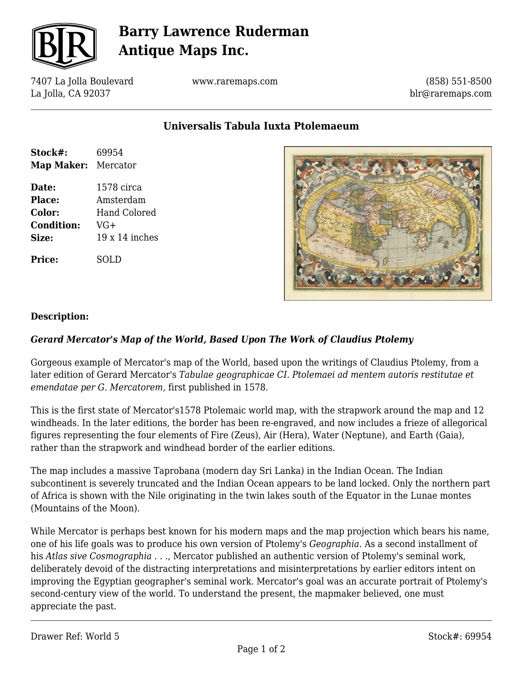

# **Barry Lawrence Ruderman Antique Maps Inc.**

7407 La Jolla Boulevard La Jolla, CA 92037

www.raremaps.com

(858) 551-8500 blr@raremaps.com

**Universalis Tabula Iuxta Ptolemaeum**

| Stock#:<br>Map Maker: Mercator                                 | 69954                                                            |
|----------------------------------------------------------------|------------------------------------------------------------------|
| Date:<br><b>Place:</b><br>Color:<br><b>Condition:</b><br>Size: | 1578 circa<br>Amsterdam<br>Hand Colored<br>VG+<br>$19x14$ inches |
| Price:                                                         | SOLD                                                             |



#### **Description:**

#### *Gerard Mercator's Map of the World, Based Upon The Work of Claudius Ptolemy*

Gorgeous example of Mercator's map of the World, based upon the writings of Claudius Ptolemy, from a later edition of Gerard Mercator's *Tabulae geographicae CI. Ptolemaei ad mentem autoris restitutae et emendatae per G. Mercatorem,* first published in 1578.

This is the first state of Mercator's1578 Ptolemaic world map, with the strapwork around the map and 12 windheads. In the later editions, the border has been re-engraved, and now includes a frieze of allegorical figures representing the four elements of Fire (Zeus), Air (Hera), Water (Neptune), and Earth (Gaia), rather than the strapwork and windhead border of the earlier editions.

The map includes a massive Taprobana (modern day Sri Lanka) in the Indian Ocean. The Indian subcontinent is severely truncated and the Indian Ocean appears to be land locked. Only the northern part of Africa is shown with the Nile originating in the twin lakes south of the Equator in the Lunae montes (Mountains of the Moon).

While Mercator is perhaps best known for his modern maps and the map projection which bears his name, one of his life goals was to produce his own version of Ptolemy's *Geographia*. As a second installment of his *Atlas sive Cosmographia . . .*, Mercator published an authentic version of Ptolemy's seminal work, deliberately devoid of the distracting interpretations and misinterpretations by earlier editors intent on improving the Egyptian geographer's seminal work. Mercator's goal was an accurate portrait of Ptolemy's second-century view of the world. To understand the present, the mapmaker believed, one must appreciate the past.